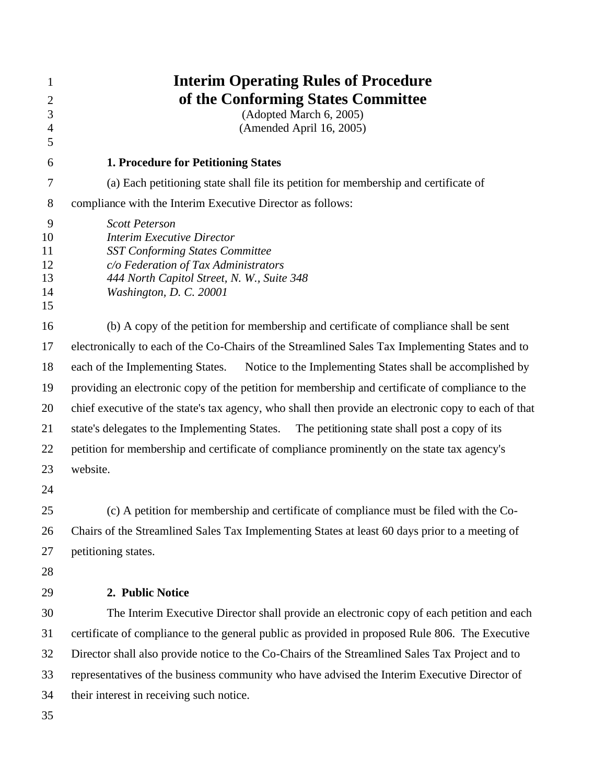| 1                                     | <b>Interim Operating Rules of Procedure</b>                                                                                                                                                                           |
|---------------------------------------|-----------------------------------------------------------------------------------------------------------------------------------------------------------------------------------------------------------------------|
| 2                                     | of the Conforming States Committee                                                                                                                                                                                    |
| 3                                     | (Adopted March 6, 2005)                                                                                                                                                                                               |
| $\overline{4}$<br>5                   | (Amended April 16, 2005)                                                                                                                                                                                              |
| 6                                     | <b>1. Procedure for Petitioning States</b>                                                                                                                                                                            |
| 7                                     | (a) Each petitioning state shall file its petition for membership and certificate of                                                                                                                                  |
| 8                                     | compliance with the Interim Executive Director as follows:                                                                                                                                                            |
| 9<br>10<br>11<br>12<br>13<br>14<br>15 | <b>Scott Peterson</b><br><b>Interim Executive Director</b><br><b>SST Conforming States Committee</b><br>c/o Federation of Tax Administrators<br>444 North Capitol Street, N. W., Suite 348<br>Washington, D. C. 20001 |
| 16                                    | (b) A copy of the petition for membership and certificate of compliance shall be sent                                                                                                                                 |
| 17                                    | electronically to each of the Co-Chairs of the Streamlined Sales Tax Implementing States and to                                                                                                                       |
| 18                                    | Notice to the Implementing States shall be accomplished by<br>each of the Implementing States.                                                                                                                        |
| 19                                    | providing an electronic copy of the petition for membership and certificate of compliance to the                                                                                                                      |
| 20                                    | chief executive of the state's tax agency, who shall then provide an electronic copy to each of that                                                                                                                  |
| 21                                    | state's delegates to the Implementing States. The petitioning state shall post a copy of its                                                                                                                          |
| 22                                    | petition for membership and certificate of compliance prominently on the state tax agency's                                                                                                                           |
| 23                                    | website.                                                                                                                                                                                                              |
| 24                                    |                                                                                                                                                                                                                       |
| 25                                    | (c) A petition for membership and certificate of compliance must be filed with the Co-                                                                                                                                |
| 26                                    | Chairs of the Streamlined Sales Tax Implementing States at least 60 days prior to a meeting of                                                                                                                        |
| 27                                    | petitioning states.                                                                                                                                                                                                   |
| 28                                    |                                                                                                                                                                                                                       |
| 29                                    | 2. Public Notice                                                                                                                                                                                                      |
| 30                                    | The Interim Executive Director shall provide an electronic copy of each petition and each                                                                                                                             |
| 31                                    | certificate of compliance to the general public as provided in proposed Rule 806. The Executive                                                                                                                       |
| 32                                    | Director shall also provide notice to the Co-Chairs of the Streamlined Sales Tax Project and to                                                                                                                       |
| 33                                    | representatives of the business community who have advised the Interim Executive Director of                                                                                                                          |
| 34                                    | their interest in receiving such notice.                                                                                                                                                                              |
| 35                                    |                                                                                                                                                                                                                       |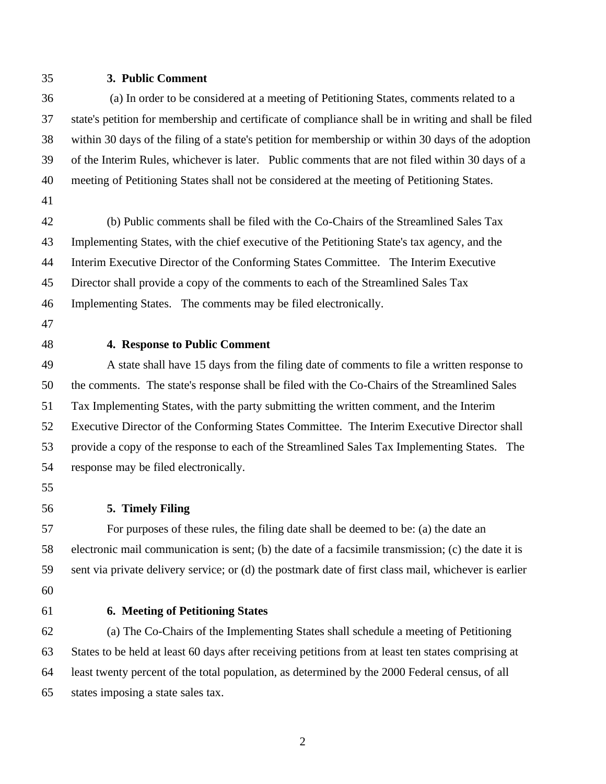## **3. Public Comment**

 (a) In order to be considered at a meeting of Petitioning States, comments related to a state's petition for membership and certificate of compliance shall be in writing and shall be filed within 30 days of the filing of a state's petition for membership or within 30 days of the adoption of the Interim Rules, whichever is later. Public comments that are not filed within 30 days of a meeting of Petitioning States shall not be considered at the meeting of Petitioning States.

 (b) Public comments shall be filed with the Co-Chairs of the Streamlined Sales Tax Implementing States, with the chief executive of the Petitioning State's tax agency, and the Interim Executive Director of the Conforming States Committee. The Interim Executive Director shall provide a copy of the comments to each of the Streamlined Sales Tax Implementing States. The comments may be filed electronically.

#### **4. Response to Public Comment**

 A state shall have 15 days from the filing date of comments to file a written response to the comments. The state's response shall be filed with the Co-Chairs of the Streamlined Sales Tax Implementing States, with the party submitting the written comment, and the Interim Executive Director of the Conforming States Committee. The Interim Executive Director shall provide a copy of the response to each of the Streamlined Sales Tax Implementing States. The response may be filed electronically.

- 
- **5. Timely Filing**

 For purposes of these rules, the filing date shall be deemed to be: (a) the date an electronic mail communication is sent; (b) the date of a facsimile transmission; (c) the date it is sent via private delivery service; or (d) the postmark date of first class mail, whichever is earlier 

## **6. Meeting of Petitioning States**

 (a) The Co-Chairs of the Implementing States shall schedule a meeting of Petitioning States to be held at least 60 days after receiving petitions from at least ten states comprising at least twenty percent of the total population, as determined by the 2000 Federal census, of all states imposing a state sales tax.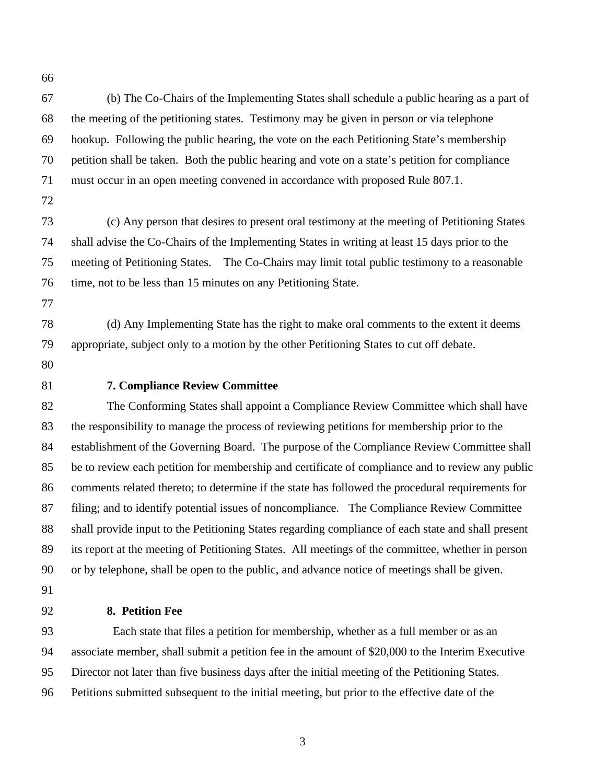(b) The Co-Chairs of the Implementing States shall schedule a public hearing as a part of the meeting of the petitioning states. Testimony may be given in person or via telephone hookup. Following the public hearing, the vote on the each Petitioning State's membership petition shall be taken. Both the public hearing and vote on a state's petition for compliance must occur in an open meeting convened in accordance with proposed Rule 807.1.

 (c) Any person that desires to present oral testimony at the meeting of Petitioning States shall advise the Co-Chairs of the Implementing States in writing at least 15 days prior to the meeting of Petitioning States. The Co-Chairs may limit total public testimony to a reasonable time, not to be less than 15 minutes on any Petitioning State.

 (d) Any Implementing State has the right to make oral comments to the extent it deems appropriate, subject only to a motion by the other Petitioning States to cut off debate.

- 
- 

#### **7. Compliance Review Committee**

 The Conforming States shall appoint a Compliance Review Committee which shall have the responsibility to manage the process of reviewing petitions for membership prior to the establishment of the Governing Board. The purpose of the Compliance Review Committee shall be to review each petition for membership and certificate of compliance and to review any public comments related thereto; to determine if the state has followed the procedural requirements for filing; and to identify potential issues of noncompliance. The Compliance Review Committee shall provide input to the Petitioning States regarding compliance of each state and shall present its report at the meeting of Petitioning States. All meetings of the committee, whether in person or by telephone, shall be open to the public, and advance notice of meetings shall be given.

# **8. Petition Fee**

Each state that files a petition for membership, whether as a full member or as an associate member, shall submit a petition fee in the amount of \$20,000 to the Interim Executive Director not later than five business days after the initial meeting of the Petitioning States. Petitions submitted subsequent to the initial meeting, but prior to the effective date of the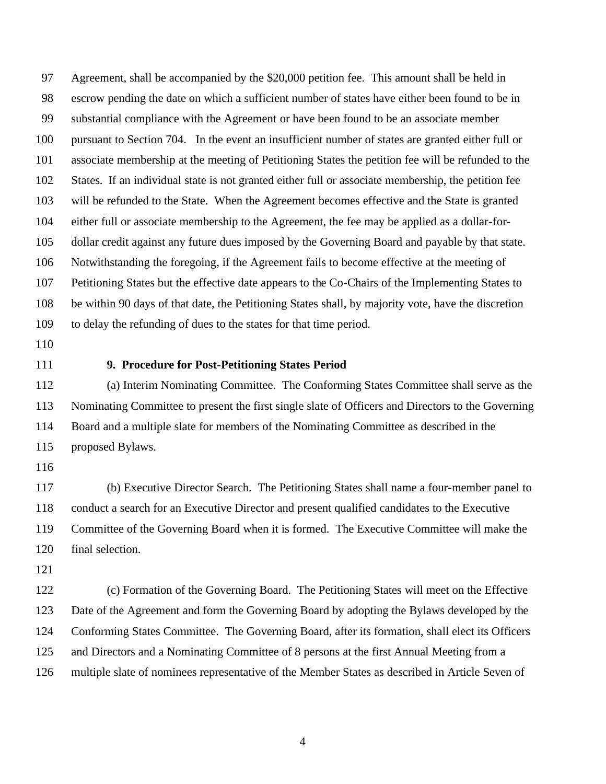Agreement, shall be accompanied by the \$20,000 petition fee. This amount shall be held in escrow pending the date on which a sufficient number of states have either been found to be in substantial compliance with the Agreement or have been found to be an associate member pursuant to Section 704. In the event an insufficient number of states are granted either full or associate membership at the meeting of Petitioning States the petition fee will be refunded to the States. If an individual state is not granted either full or associate membership, the petition fee will be refunded to the State. When the Agreement becomes effective and the State is granted either full or associate membership to the Agreement, the fee may be applied as a dollar-for- dollar credit against any future dues imposed by the Governing Board and payable by that state. Notwithstanding the foregoing, if the Agreement fails to become effective at the meeting of Petitioning States but the effective date appears to the Co-Chairs of the Implementing States to be within 90 days of that date, the Petitioning States shall, by majority vote, have the discretion to delay the refunding of dues to the states for that time period.

- 
- 

## **9. Procedure for Post-Petitioning States Period**

 (a) Interim Nominating Committee. The Conforming States Committee shall serve as the Nominating Committee to present the first single slate of Officers and Directors to the Governing Board and a multiple slate for members of the Nominating Committee as described in the proposed Bylaws.

 (b) Executive Director Search. The Petitioning States shall name a four-member panel to conduct a search for an Executive Director and present qualified candidates to the Executive Committee of the Governing Board when it is formed. The Executive Committee will make the final selection.

 (c) Formation of the Governing Board. The Petitioning States will meet on the Effective Date of the Agreement and form the Governing Board by adopting the Bylaws developed by the Conforming States Committee. The Governing Board, after its formation, shall elect its Officers and Directors and a Nominating Committee of 8 persons at the first Annual Meeting from a multiple slate of nominees representative of the Member States as described in Article Seven of